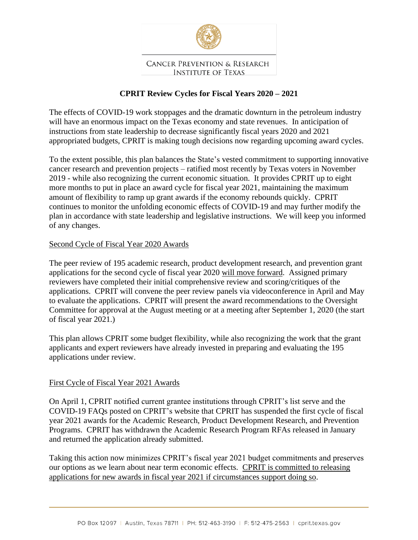

#### **CANCER PREVENTION & RESEARCH INSTITUTE OF TEXAS**

# **CPRIT Review Cycles for Fiscal Years 2020 – 2021**

The effects of COVID-19 work stoppages and the dramatic downturn in the petroleum industry will have an enormous impact on the Texas economy and state revenues. In anticipation of instructions from state leadership to decrease significantly fiscal years 2020 and 2021 appropriated budgets, CPRIT is making tough decisions now regarding upcoming award cycles.

To the extent possible, this plan balances the State's vested commitment to supporting innovative cancer research and prevention projects – ratified most recently by Texas voters in November 2019 - while also recognizing the current economic situation. It provides CPRIT up to eight more months to put in place an award cycle for fiscal year 2021, maintaining the maximum amount of flexibility to ramp up grant awards if the economy rebounds quickly. CPRIT continues to monitor the unfolding economic effects of COVID-19 and may further modify the plan in accordance with state leadership and legislative instructions. We will keep you informed of any changes.

### Second Cycle of Fiscal Year 2020 Awards

The peer review of 195 academic research, product development research, and prevention grant applications for the second cycle of fiscal year 2020 will move forward. Assigned primary reviewers have completed their initial comprehensive review and scoring/critiques of the applications. CPRIT will convene the peer review panels via videoconference in April and May to evaluate the applications. CPRIT will present the award recommendations to the Oversight Committee for approval at the August meeting or at a meeting after September 1, 2020 (the start of fiscal year 2021.)

This plan allows CPRIT some budget flexibility, while also recognizing the work that the grant applicants and expert reviewers have already invested in preparing and evaluating the 195 applications under review.

### First Cycle of Fiscal Year 2021 Awards

On April 1, CPRIT notified current grantee institutions through CPRIT's list serve and the COVID-19 FAQs posted on CPRIT's website that CPRIT has suspended the first cycle of fiscal year 2021 awards for the Academic Research, Product Development Research, and Prevention Programs. CPRIT has withdrawn the Academic Research Program RFAs released in January and returned the application already submitted.

Taking this action now minimizes CPRIT's fiscal year 2021 budget commitments and preserves our options as we learn about near term economic effects. CPRIT is committed to releasing applications for new awards in fiscal year 2021 if circumstances support doing so.